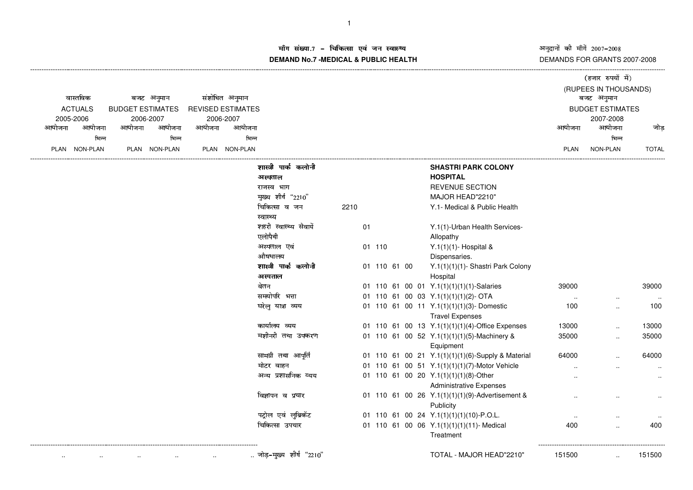अनुदानों की माँगें 2007–2008<br>DEMANDS FOR GRANTS 2007-2008

(हजार रुपयों में)

## ाँग संख्या.7 – चिकित्सा एवं जन स्वास्थ्य<br>IAND N- 7 MEDIOAL 8 DUDLIO-UEALTIL **DEMAND No.7 -MEDICAL & PUBLIC HEALTH**

| वास्तविक<br><b>ACTUALS</b> |           | बजट अनुमान<br><b>BUDGET ESTIMATES</b> |               | संशोधित अनुमान<br><b>REVISED ESTIMATES</b> |               |                                 |      |              |  |                                                                         | बजट अनुमान<br><b>BUDGET ESTIMATES</b> | (RUPEES IN THOUSANDS) |              |
|----------------------------|-----------|---------------------------------------|---------------|--------------------------------------------|---------------|---------------------------------|------|--------------|--|-------------------------------------------------------------------------|---------------------------------------|-----------------------|--------------|
|                            | 2005-2006 |                                       | 2006-2007     |                                            | 2006-2007     |                                 |      |              |  |                                                                         |                                       | 2007-2008             |              |
| आयोजना                     | आयोजना    | आयोजना                                | आयोजना        | आयोजना                                     | आयोजना        |                                 |      |              |  |                                                                         | आयोजना                                | आयोजना                | जोड          |
|                            | भिन्न     |                                       | भिन्न         |                                            | भिन्न         |                                 |      |              |  |                                                                         |                                       | भिन्न                 |              |
| <b>PLAN</b>                | NON-PLAN  |                                       | PLAN NON-PLAN |                                            | PLAN NON-PLAN |                                 |      |              |  |                                                                         | PLAN                                  | NON-PLAN              | <b>TOTAL</b> |
|                            |           |                                       |               |                                            |               | शास्त्री पार्क कलोनी            |      |              |  | <b>SHASTRI PARK COLONY</b>                                              |                                       |                       |              |
|                            |           |                                       |               |                                            |               | अस्पताल                         |      |              |  | <b>HOSPITAL</b>                                                         |                                       |                       |              |
|                            |           |                                       |               |                                            |               | राजस्व भाग                      |      |              |  | <b>REVENUE SECTION</b>                                                  |                                       |                       |              |
|                            |           |                                       |               |                                            |               | मुख्य शीर्ष "2210"              |      |              |  | MAJOR HEAD"2210"                                                        |                                       |                       |              |
|                            |           |                                       |               |                                            |               | चिकित्सा व जन<br>स्वास्थ्य      | 2210 |              |  | Y.1- Medical & Public Health                                            |                                       |                       |              |
|                            |           |                                       |               |                                            |               | शहरी स्वास्थ्य सेवायें          | 01   |              |  | Y.1(1)-Urban Health Services-                                           |                                       |                       |              |
|                            |           |                                       |               |                                            |               | एलोपैथी                         |      |              |  | Allopathy                                                               |                                       |                       |              |
|                            |           |                                       |               |                                            |               | अस्पताल एवं                     |      | 01 110       |  | Y.1(1)(1)- Hospital &                                                   |                                       |                       |              |
|                            |           |                                       |               |                                            |               | औषधालय                          |      |              |  | Dispensaries.                                                           |                                       |                       |              |
|                            |           |                                       |               |                                            |               | शास्त्री पार्क कलोनी<br>अस्पताल |      | 01 110 61 00 |  | Y.1(1)(1)(1)- Shastri Park Colony<br>Hospital                           |                                       |                       |              |
|                            |           |                                       |               |                                            |               | वेतन                            |      |              |  | 01 110 61 00 01 Y.1(1)(1)(1)(1)-Salaries                                | 39000                                 |                       | 39000        |
|                            |           |                                       |               |                                            |               | समयोपरि भत्ता                   |      |              |  | 01 110 61 00 03 Y.1(1)(1)(1)(2)-OTA                                     | $\sim$                                |                       |              |
|                            |           |                                       |               |                                            |               | घरेलु यात्रा व्यय               |      |              |  | 01 110 61 00 11 Y.1(1)(1)(1)(3)-Domestic<br><b>Travel Expenses</b>      | 100                                   |                       | 100          |
|                            |           |                                       |               |                                            |               | कार्यालय व्यय                   |      |              |  | 01 110 61 00 13 Y.1(1)(1)(1)(4)-Office Expenses                         | 13000                                 |                       | 13000        |
|                            |           |                                       |               |                                            |               | मशीनरी तथा उपकरण                |      |              |  | 01 110 61 00 52 Y.1(1)(1)(1)(5)-Machinery &<br>Equipment                | 35000                                 |                       | 35000        |
|                            |           |                                       |               |                                            |               | सामग्री तथा आपूर्ति             |      |              |  | 01 110 61 00 21 Y.1(1)(1)(1)(6)-Supply & Material                       | 64000                                 |                       | 64000        |
|                            |           |                                       |               |                                            |               | मोटर वाहन                       |      |              |  | 01 110 61 00 51 Y.1(1)(1)(1)(7)-Motor Vehicle                           |                                       |                       | $\ldots$     |
|                            |           |                                       |               |                                            |               | अन्य प्रशासनिक व्यय             |      |              |  | 01 110 61 00 20 Y.1(1)(1)(1)(8)-Other<br><b>Administrative Expenses</b> |                                       |                       | $\ddotsc$    |
|                            |           |                                       |               |                                            |               | विज्ञापन व प्रचार               |      |              |  | 01 110 61 00 26 Y.1(1)(1)(1)(9)-Advertisement &                         |                                       |                       |              |
|                            |           |                                       |               |                                            |               |                                 |      |              |  | Publicity                                                               |                                       |                       |              |
|                            |           |                                       |               |                                            |               | पट्रोल एवं लुब्रिकेंट           |      |              |  | 01 110 61 00 24 Y.1(1)(1)(1)(10)-P.O.L.                                 |                                       |                       |              |
|                            |           |                                       |               |                                            |               | चिकित्सा उपचार                  |      |              |  | 01 110 61 00 06 Y.1(1)(1)(1)(11)- Medical<br>Treatment                  | 400                                   |                       | 400          |
|                            |           |                                       |               |                                            |               | जोड़-मुख्य शीर्ष "2210"         |      |              |  | TOTAL - MAJOR HEAD"2210"                                                | 151500                                |                       | 151500       |
|                            |           |                                       |               |                                            |               |                                 |      |              |  |                                                                         |                                       |                       |              |

----------------------------------------------------------------------------------------------------------------------------------------------------------------------------------------------------------------------------------------------------------------------------------------------